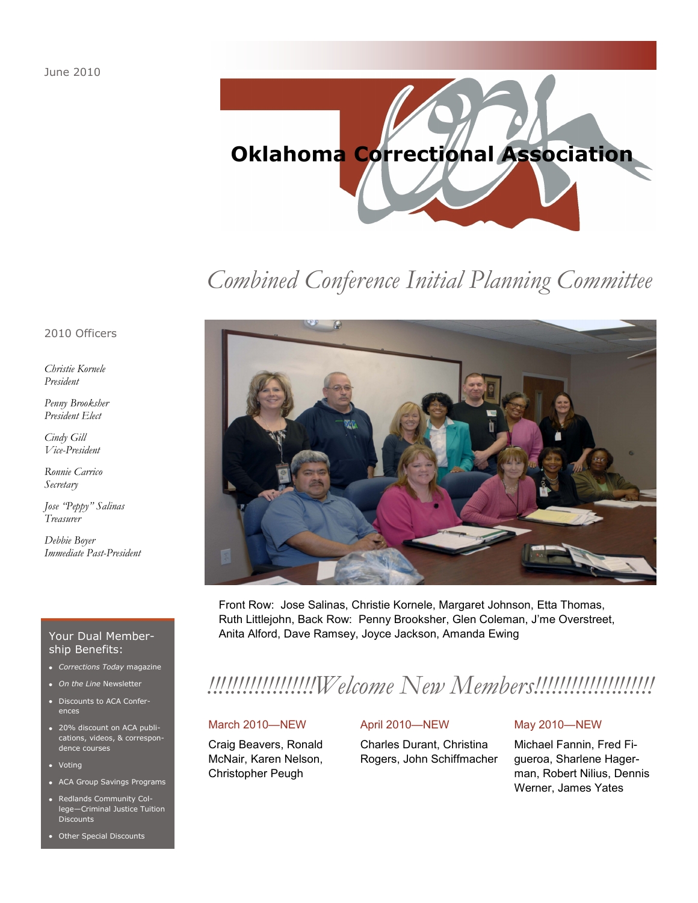

# *Combined Conference Initial Planning Committee*

2010 Officers

*Christie Kornele President*

*Penny Brooksher President Elect*

*Cindy Gill Vice-President*

*Ronnie Carrico Secretary*

*Jose "Peppy" Salinas Treasurer*

*Debbie Boyer Immediate Past-President*

### Your Dual Membership Benefits:

- *Corrections Today* magazine
- *On the Line* Newsletter
- Discounts to ACA Conferences
- 20% discount on ACA publications, videos, & correspondence courses
- Voting
- ACA Group Savings Programs
- Redlands Community College—Criminal Justice Tuition **Discounts**
- Other Special Discounts



Front Row: Jose Salinas, Christie Kornele, Margaret Johnson, Etta Thomas, Ruth Littlejohn, Back Row: Penny Brooksher, Glen Coleman, J'me Overstreet, Anita Alford, Dave Ramsey, Joyce Jackson, Amanda Ewing

# *!!!!!!!!!!!!!!!!!!Welcome New Members!!!!!!!!!!!!!!!!!!!!*

### March 2010—NEW

Craig Beavers, Ronald McNair, Karen Nelson, Christopher Peugh

### April 2010—NEW

Charles Durant, Christina Rogers, John Schiffmacher

### May 2010—NEW

Michael Fannin, Fred Figueroa, Sharlene Hagerman, Robert Nilius, Dennis Werner, James Yates